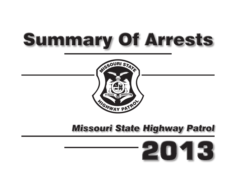# **Summary Of Arrests**



# **Missouri State Highway Patrol**

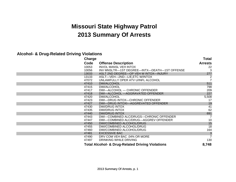# **Missouri State Highway Patrol 2013 Summary Of Arrests**

#### **Alcohol- & Drug-Related Driving Violations**

| Charge |                                                             | <b>Total</b>   |
|--------|-------------------------------------------------------------|----------------|
| Code   | <b>Offense Description</b>                                  | <b>Arrests</b> |
| 10053  | <b>INVOL MANSL VEH INTOX</b>                                | 22             |
| 10056  | INV MNSLTR-1ST DEGREE-INTX-DEATH-1ST OFFENSE                | 3              |
| 13033  | ASLT 2ND DEGREE-OP VEH W INTOX-INJURY                       | 277            |
| 13133  | ASLT—VEH—2ND—L/E,ETC W/INTOX                                | 2              |
| 47072  | UNLAWFULLY OPER ATV U/INFL ALCOHOL                          |                |
| 47410  | DWI/ALCOHOL                                                 | 511            |
| 47415  | DWI/ALCOHOL                                                 | 798            |
| 47417  | DWI-ALCOHOL - CHRONIC OFFENDER                              | 209            |
| 47418  | DWI-ALCOHOL - AGGRAVATED OFFENDER                           | 227            |
| 47420  | DWI/ALCOHOL                                                 | 5,508          |
| 47423  | DWI-DRUG INTOX-CHRONIC OFFENDER                             | 17             |
| 47427  | DWI-DRUG INTOXI-AGGREVATED OFFENDER                         | 19             |
| 47430  | DWI/DRUG INTOX                                              | 41             |
| 47435  | <b>DWI/DRUG INTOX</b>                                       | 62             |
| 47440  | <b>DWI/DRUG INTOX</b>                                       | 691            |
| 47443  | DWI-COMBINED ALC/DRUGS-CHRONIC OFFENDER                     |                |
| 47447  | DWI-COMBINED ALC/DRUG-AGGREV OFFENDER                       | 10             |
| 47450  | DWI/COMBINED ALCOHOL/DRUG                                   | 15             |
| 47455  | DWI/COMBINED ALCOHOL/DRUG                                   | 18             |
| 47460  | DWI/COMBINED ALCOHOL/DRUG                                   | 164            |
| 47481  | <b>EXCESSIVE BAC</b>                                        | $rac{3}{7}$    |
| 47490  | DRV COM VEH BAC .04% OR MORE                                |                |
| 47497  | DRINKING WHILE DRIVING                                      | 130            |
|        | <b>Total Alcohol- &amp; Drug-Related Driving Violations</b> | 8,748          |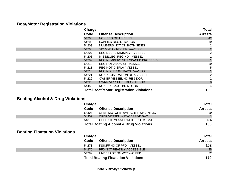# **Boat/Motor Registration Violations**

| Charge |                                                 | <b>Total</b>   |
|--------|-------------------------------------------------|----------------|
| Code   | <b>Offense Description</b>                      | <b>Arrests</b> |
| 54200  | NON REG OF A VESSEL                             | 42             |
| 54202  | <b>EXPIRED REGISTRATION</b>                     | 69             |
| 54203  | NUMBERS NOT ON BOTH SIDES                       | 2              |
| 54206  | VIO 60-DAY RECIPRO-VESSEL                       | $\mathbf 2$    |
| 54207  | REG DECAL N/DISPLY—VESSEL                       | $\overline{2}$ |
| 54208  | MISS/ILLEGI REG NO-VESSEL                       |                |
| 54209  | REG NUMBERS NOT SPACED PROPERLY                 |                |
| 54210  | REG NOT ABOARD-VESSEL                           | 19             |
| 54211  | REG NOT DISPLAY VESSEL                          | 5              |
| 54215  | <b>REG NO.N/CONTRA/CLR-VESSEL</b>               |                |
| 54221  | NONREGISTRATION OF A VESSEL                     | 2              |
| 54222  | OWNER VESSEL NO REG DOR                         | 2              |
| 54223  | OWNR VESSEL FL REG/TIT DOR                      | 8              |
| 54453  | NON-REG/OUTBD MOTOR                             | 4              |
|        | <b>Total Boat/Motor Registration Violations</b> | 160            |

# **Boating Alcohol & Drug Violations**

| Charge |                                                    | Total          |
|--------|----------------------------------------------------|----------------|
| Code   | <b>Offense Description</b>                         | <b>Arrests</b> |
| 54303  | OPER MOTORBT/WTRCRFT WHL INTOX                     | 19             |
| 54309  | OPER VESSEL W/EXCESSIVE BAC                        | $\mathbf{1}$   |
| 54312  | OPERATE VESSEL WHILE INTOXICATED                   | 136            |
|        | <b>Total Boating Alcohol &amp; Drug Violations</b> | 156            |

# **Boating Floatation Violations**

| Charge |                                            | <b>Total</b>   |
|--------|--------------------------------------------|----------------|
| Code   | <b>Offense Description</b>                 | <b>Arrests</b> |
| 54273  | INSUFF NO OF PFD-VESSEL                    | 102            |
| 54276  | PFD NOT READILY ACCESSIBLE                 | 45             |
| 54289  | UNDERAGE ON W/C W/O/PFD                    | 32             |
|        | <b>Total Boating Floatation Violations</b> | 179            |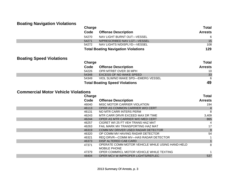# **Boating Navigation Violations**

| $\tilde{\phantom{a}}$           | Charge |                                            | <b>Total</b>   |
|---------------------------------|--------|--------------------------------------------|----------------|
|                                 | Code   | <b>Offense Description</b>                 | <b>Arrests</b> |
|                                 | 54270  | NAV LIGHT BURNT OUT-VESSEL                 | 6              |
|                                 | 54271  | N/PRESCRIBED NAV LGT-VESSEL                | 15             |
|                                 | 54272  | NAV LIGHTS N/DISPLYD-VESSEL                | 108            |
|                                 |        | <b>Total Boating Navigation Violations</b> | 129            |
| <b>Boating Speed Violations</b> | Charge |                                            | <b>Total</b>   |
|                                 | Code   | <b>Offense Description</b>                 | <b>Arrests</b> |
|                                 | 54226  | OPR MTRBT OVER 30 MPH                      | 10             |
|                                 | 54348  | <b>EXCESS OF NO WAKE SPEED</b>             | 33             |
|                                 | 54349  | VIOL SLW/NO WAKE SPD—EMERG VESSEL          | 6              |
|                                 |        | <b>Total Boating Speed Violations</b>      | 49             |
|                                 |        |                                            |                |

#### **Commercial Motor Vehicle Violations**

| Charge |                                                  | <b>Total</b>   |
|--------|--------------------------------------------------|----------------|
| Code   | <b>Offense Description</b>                       | <b>Arrests</b> |
| 46040  | MISC MOTOR CARRIER VIOLATION                     | 194            |
| 46113  | OPER AS COMMON CARRIER W/O CERT                  |                |
| 46131  | NO MTR CARR INTERS PERM                          | 8              |
| 46243  | MTR CARR DRVR EXCEED MAX DR TIME                 | 3,409          |
| 46244  | OPER AS MTR CARRIER W/O MED CERT                 | 865            |
| 46257  | CIGRET W/I 25 FT VEH TRANS HAZ MAT               |                |
| 46263  | FAIL MARK MV TRANSPORTING HAZ MAT                | 17             |
| 46319  | COMM MV DRIVER USED RADAR DETECTOR               | 9              |
| 46320  | OP COMM MV HAVING RADAR DETECTOR                 | 54             |
| 46321  | REQ DRVR—COMM MV—HAS RADAR DETECTOR              |                |
| 46373  | DISP ALTERED CAB CARD                            |                |
| 47371  | OPERATE COMM MOTOR VEHICLE WHILE USING HAND-HELD | 8              |
|        | <b>MOBILE PHONE</b>                              |                |
| 47379  | OPER COMMRCL MOTOR VEHICLE WHILE TEXTING         |                |
| 48404  | OPER MCV W IMPROPER LIGHTS/REFLEC                | 537            |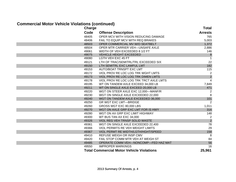#### **Commercial Motor Vehicle Violations (continued)**

| ,<br><b>Charge</b> | . <i>.</i>                                       | Total                                 |
|--------------------|--------------------------------------------------|---------------------------------------|
| Code               | <b>Offense Description</b>                       | <b>Arrests</b>                        |
| 48405              | OPER MCV WITH VISION REDUCING DAMAGE             | 765                                   |
| 48406              | FAIL TO EQUIP MCV WITH REQ BRAKES                | 5,003                                 |
| 48503              | OPER COMMERCIAL MV W/O SEATBELT                  | 1,372                                 |
| 48504              | OPER MTR CARRIER VEH-UNSAFE AXLE                 | 2,886                                 |
| 49061              | WIDTH OF VEH EXCEEDED 8 1/2 FT                   | 146                                   |
| 49075              | <b>VEHICLE HEIGHT EXCEEDED</b>                   | $\begin{array}{c} 8 \\ 1 \end{array}$ |
| 49080              | <b>LGTH VEH EXC 45 FT</b>                        |                                       |
| 49121              | LTH OF TRAC/SEMITRL/TRL EXCEEDED SIX             | 22                                    |
| 49150              | LTH SEMITRL EXC LAWFUL LMT                       | 182                                   |
| 49153              | AUTO/BOAT TRNSPT EXC LMT                         | 115                                   |
| 49172              | VIOL PROV RE LOC LOG TRK WGHT LMTS               | 2                                     |
| 49173              | VIOL PROV RE LOC LOG TRK DIMEN LMTS              | $\overline{c}$                        |
| 49178              | VIOL PROV RE LOC LOG TRK TRCT AXLE LMTS          | $\overline{4}$                        |
| 49195              | WT ON TANDEM AXLE EXCEED 34,000 LB               | 7,849                                 |
| 49211              | WT ON SINGLE AXLE EXCEED 20,000 LB               | 471                                   |
| 49220              | WGT ON STEER AXLE EXC 12,000-MANF/R              | 2                                     |
| 49230              | WGT ON SINGLE AXLE EXCEEDED 22,000               | $\bf 8$                               |
| 49240              | WGT ON TANDEM AXLE EXCEEDED 36,000               | 101                                   |
| 49250              | <b>GR WGT EXC LMT-BRIDGE</b>                     | 2                                     |
| 49260              | GROSS WGT EXC 80,000 LBS                         | 1,011                                 |
| 49270              | WGT ON AXLE GRP EXC LMT FOR IS HWY               | 316                                   |
| 49280              | WGT ON AX GRP EXC LIMIT HIGHWAY                  | 148                                   |
| 49300              | WT BUS TAN AX EXC 34,000                         | 2                                     |
| 49326              | VIOL REG VEH TRNSP SOLID WASTE                   | $\overline{c}$                        |
| 49361              | WGT ON SINGLE AXLE EXCEEDED 22,400               | $\overline{78}$                       |
| 49366              | VIOL PERMITS RE VEH WEIGHT LIMITS                | 29                                    |
| 49367              | VIOL PERMT RE WIDTH/LGTH/HGHT/SPEED              | 158                                   |
| 49410              | REFUSE WEIGH OR INSP CMV                         | 8                                     |
| 49420              | FAIL STOP COMM MTR VEH AT WEIGH ST               | 84                                    |
| 49485              | OPERATE COMM VEH-NONCOMP-FED HAZ MAT             | 56                                    |
| 49550              | <b>IMPROPER MARKINGS</b>                         | 16                                    |
|                    | <b>Total Commercial Motor Vehicle Violations</b> | 25,961                                |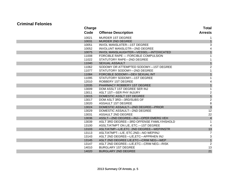#### **Criminal Felonies**

| <b>Charge</b> |                                           | Total                   |
|---------------|-------------------------------------------|-------------------------|
| Code          | <b>Offense Description</b>                | <b>Arrests</b>          |
| 10021         | <b>MURDER 1ST DEGREE</b>                  |                         |
| 10031         | MURDER 2ND DEGREE                         |                         |
| 10051         | <b>INVOL MANSLATER-1ST DEGREE</b>         | 3                       |
| 10052         | INVOLUNT MANSLGTR-2ND DEGREE              | 4                       |
| 10075         | INVOL MANSLAUGHTER-VESSEL-INTOXICATED     | $\mathbf{1}$            |
| 11008         | FORCIBLE RAPE - FORCIBLE COMPULSION       |                         |
| 11022         | STATUTORY RAPE-2ND DEGREE                 |                         |
| 11040         | <b>SEXUAL ASSAULT</b>                     |                         |
| 11062         | SODOMY OR ATTEMPTED SODOMY-1ST DEGREE     | $\overline{2}$          |
| 11077         | STATUTORY SODOMY-2ND DEGREE               |                         |
| 11084         | FORCIBLE SODOMY-DEV SEXUAL INT            | $\mathbf{1}$            |
| 11095         | STATUTORY SODOMY-1ST DEGREE               |                         |
| 12010         | ROBBERY 1ST DEGREE                        |                         |
| 12035         | PHARMACY ROBBERY 1ST DEGREE               |                         |
| 13009         | DOM ASSLT 1ST DEGREE SER INJ              |                         |
| 13011         | ASLT 1ST-SER PHY INJURY                   | $\overline{\mathbf{c}}$ |
| 13015         | DOMESTIC ASSLT 1ST DEGREE                 | $\overline{1}$          |
| 13017         | DOM ASLT 3RD-3RD/SUBS OF                  | $\overline{c}$          |
| 13020         | ASSAULT 1ST DEGREE                        | 8                       |
| 13024         | DOMESTIC ASSAULT-2ND DEGREE-PRIOR         | $\overline{3}$          |
| 13029         | DOMESTIC ASSAULT-2ND DEGREE               | 12                      |
| 13031         | ASSAULT 2ND DEGREE                        | 22                      |
| 13036         | ASSLT-2ND DEGREE-INJ-OPER EMERG VEH       | $\overline{\mathbf{4}}$ |
| 13039         | ASLT 3RD DEGREE-3RD OFFENSE FAMILY/HSHOLD |                         |
| 13100         | ASSLT/ATMPT ON L/E, ETC.-1ST DEGREE       | 4                       |
| 13103         | ASLT/ATMP-L/E,ETC. 2ND DEGREE-WEP/INSTR   | 13                      |
| 13113         | ASLT/ATMPT-L/E, ETC.2ND-NO WEP/INJ        | 7                       |
| 13143         | ASLT 2ND DEGREE-L/E, ETC-APPRHEN INJ      | 3                       |
| 13145         | ASLT 2ND DEGREE L/E, ETC-CRIM NEG-WEP     | $\overline{1}$          |
| 13147         | ASLT 2ND DEGREE-L/E, ETC-CRIM NEG-RISK    | $\overline{2}$          |
| 14010         | <b>BURGLARY 1ST DEGREE</b>                | 13                      |
| 14020         | <b>BURGLARY 2ND DEGREE</b>                | 21                      |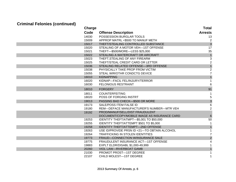|       | <b>Charge</b>                                | <b>Total</b>   |
|-------|----------------------------------------------|----------------|
| Code  | <b>Offense Description</b>                   | <b>Arrests</b> |
| 14030 | POSSESSION BURGLAR TOOLS                     | 13             |
| 15009 | APPROP MATRL <\$500 TO MANUF METH            | $\overline{2}$ |
| 15017 | THEFT/STEALING CONTROLLED SUBSTANCE          | $\overline{3}$ |
| 15020 | STEALING OF A MOTOR VEH-1ST OFFENSE          | 17             |
| 15021 | THEFT-\$500/MORE-LESS \$25,000               | 35             |
| 15022 | STEALING A WATERCRAFT OR AIRCRAFT            | $\overline{1}$ |
| 15023 | THEFT, STEALING OF ANY FIREARM               | 3              |
| 15025 | THEFT/STEAL CREDIT CARD OR LETTER            | $\overline{c}$ |
| 15036 | STEALING RELATED OFFENSE-3RD OFFENSE         | $\overline{1}$ |
| 15038 | PHYSICALLY TAKE PROP FROM VICTIM             | $\overline{2}$ |
| 15055 | STEAL WIR/OTHR CONDCTG DEVICE                | $\overline{7}$ |
| 16010 | <b>KIDNAPPING</b>                            | $\mathbf{1}$   |
| 16020 | KIDNAP-FACIL FEL/INJURY/TERROR               | 1              |
| 16030 | <b>FELONIOUS RESTRAINT</b>                   | 6              |
| 18010 | <b>FORGERY</b>                               | 91             |
| 18011 | <b>COUNTERFEITING</b>                        |                |
| 18020 | POSS OF FORGING INSTRT                       | 5              |
| 19013 | PASSING BAD CHECK-\$500 OR MORE              | $\mathfrak{S}$ |
| 19173 | SALE/POSS ITEM FALSE ID                      | 6              |
| 19180 | REM-DEFACE MANUFACTURER'S NUMBER-MTR VEH     | $\overline{2}$ |
| 19192 | PROD/MANUF/SELL/DIST FRAUDULENT              |                |
|       | DOCUMENT/COPY/MOBILE IMAGE AS INSURANCE CARD | $\,6$          |
| 19253 | IDENTITY THEFT/ATMPT-\$5,001 TO \$50,000     | 50             |
| 19255 | IDENTITY THEFT/ATTEMPT \$501 TO \$5,000      | 1              |
| 19258 | IDENTITY THEFT/ATTEMPT-2ND OFFENSE           | $\mathbf 1$    |
| 19263 | USE ID/PROVIDE PRSN ID <21-TO OBTAIN ALCOHOL | 1              |
| 19264 | TRAFFICKING IN STOLEN IDENTITIES             | 7              |
| 19773 | FRAUD-CONNECTION W/INSURANCE SALE            | $\overline{2}$ |
| 19775 | FRAUDULENT INSURANCE ACT-1ST OFFENSE         | 4              |
| 19883 | EXPLT ELDR/DISABL \$1,000-49,999             | $\mathbf{1}$   |
| 20260 | <b>VIOL LAW-RIVERBOAT GAMB</b>               | $\mathbf{1}$   |
| 21030 | PROMOT PROST-1ST DEGREE                      | 1              |
| 22107 | CHILD MOLEST-1ST DEGREE                      | 1              |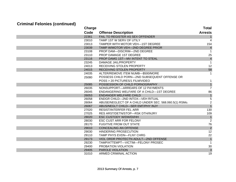| <b>Charge</b> |                                                        | <b>Total</b>    |
|---------------|--------------------------------------------------------|-----------------|
| Code          | <b>Offense Description</b>                             | <b>Arrests</b>  |
| 22361         | FAIL TO REGISTER AS SEX OFFENDER                       |                 |
| 23010         | TAMP 1ST W SERV OF UTILY                               | 4               |
| 23013         | TAMPER WITH MOTOR VEH-1ST DEGREE                       | 154             |
| 23039         | TAMP W/MOTOR VEH-2ND DEGREE PRIOR                      | $\overline{4}$  |
| 23108         | PROP DAM-DISCRIM-2ND DEGREE                            |                 |
| 23110         | PROP DAMAGE 1ST DEGREE                                 | 25              |
| 23116         | PROP DAMG 1ST-MV INTENT TO STEAL                       | $\overline{4}$  |
| 23245         | DAMAGE JAIL/PROPERTY                                   | 1               |
| 24013         | RECEIVING STOLEN PROPERTY                              | 12              |
| 24015         | RECEIVING STOLEN PROPERTY                              | 58              |
| 24035         | ALTER/REMOVE ITEM NUMB-\$500/MORE                      | 1               |
| 25080         | POSSESS CHILD PORN-2ND SUBSEQUENT OFFENSE OR           |                 |
|               | POSS > 20 PICTURES/1 FILM/VIDEO                        |                 |
| 25085         | POSSESSION OF CHILD PORNOGRAPHY                        | $\mathbf{1}$    |
| 26035         | NONSUPPORT-ARREARS OF 12 PAYMENTS                      | $\overline{7}$  |
| 26045         | ENDANGERING WELFARE OF A CHILD-1ST DEGREE              | 86              |
| 26053         | <b>ENDANGER WELFARE CHILD</b>                          | $\overline{1}$  |
| 26058         | ENDGR CHILD-2ND INTOX-VEH RITUAL                       | 5               |
| 26064         | ABUSE/NEGLECT OF A CHILD UNDER SEC. 568.060.5(1) RSMo. | $\overline{2}$  |
| 26067         | ABUS/NEGLT CHILD-SER EMT/PHY INJY                      | $\overline{1}$  |
| 27020         | <b>RESIST/INTERFER FEL ARR</b>                         | 130             |
| 27025         | RES ARST/DETN/STOP-RSK DTH/INJRY                       | 109             |
| 28020         | <b>ESC CUSTODY W/DW/DI/HH</b>                          | $\mathbf{1}$    |
| 28030         | <b>ESC CUST ARR FOR FELONY</b>                         | $\overline{2}$  |
| 28170         | <b>FUGITIVE FROM OUT STATE</b>                         | 76              |
| 29010         | <b>CONCEALING AN OFFENSE</b>                           | $\overline{c}$  |
| 29030         | <b>HINDERING PROSECUTION</b>                           | $\overline{12}$ |
| 29110         | <b>TAMP PHYS EVDN-FLNY CHRG</b>                        | 22              |
| 29173         | VIOL ORDR PROTECTN ADULT-2ND OFFENSE                   | $\overline{1}$  |
| 29230         | TAMP/ATTEMPT-VICTIM-FELONY PROSEC                      | $\mathbf 1$     |
| 29400         | PROBATION VIOLATION                                    | 30              |
| 29405         | PAROLE VIOLATION                                       | $\mathsf 3$     |
| 31010         | ARMED CRIMINAL ACTION                                  | 19              |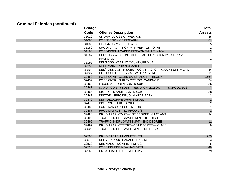| <b>Charge</b> |                                                     | <b>Total</b>   |
|---------------|-----------------------------------------------------|----------------|
| Code          | <b>Offense Description</b>                          | <b>Arrests</b> |
| 31020         | UNLAWFUL USE OF WEAPON                              | 35             |
| 31065         | POSSESSION OF FIREARM                               | 61             |
| 31080         | POSS/MFGR/SELL ILL WEAP                             | 5              |
| 31152         | SHOOT AT OR FROM MTR VEH-1ST OFNS                   |                |
| 31163         | POSS/DISCH LOADED FIREARM WHILE INTOX               | $\overline{2}$ |
| 31182         | DEL/POSS WEAPON-CORR FAC, CITY/COUNTY JAIL, PRIV    |                |
|               | PRSN/JAIL                                           |                |
| 31195         | DEL/POSS WEAP AT COUNTY/PRIV JAIL                   |                |
| 32255         | <b>KEEP MAINT PUB NUISANCE</b>                      | $\overline{7}$ |
| 32322         | DEL/POSS CONTR SUBS-CORR FAC, CITY/COUNTY/PRIV JAIL | 36             |
| 32327         | CONT SUB CO/PRIV JAIL W/O PRESCRPT                  | 11             |
| 32450         | POSS CONTROLLED SUBSTANCE-FELONY                    | 1,664          |
| 32452         | POSS CNTRL SUB EXCPT 35G>CANBNOID                   | 24             |
| 32460         | <b>FRAUD ATT OBTN CONTR SUB</b>                     | 36             |
| 32461         | MANUF CONTR SUBS-RES W CHILD/2,000 FT-SCHOOL/BUS    | $\overline{2}$ |
| 32465         | DIST DEL MANUF CONTR SUB                            | 338            |
| 32467         | DIST/DEL SPEC DRUG IN/NEAR PARK                     | $\mathbf{3}$   |
| 32470         | DIST DEL/U/FIVE GRAMS MARIJ                         | $\overline{1}$ |
| 32475         | <b>DIST CONT SUB TO MINOR</b>                       | $\sqrt{2}$     |
| 32480         | PUR TRAN CONT SUB MINOR                             | 1              |
| 32487         | PROV MATRLS-ILL PROD C/S                            | $\mathbf{1}$   |
| 32488         | DRUG TRAF/ATMPT-1ST DEGREE > STAT AMT               | 24             |
| 32490         | TRAFFIC IN DRUGS/ATTEMPT-1ST DEGREE                 | $\overline{7}$ |
| 32495         | TRAFFIC IN DRUG/ATTEMPT-2ND DEGREE                  | 11             |
| 32497         | DRUG TRAF/ATTEMPT-1ST DEGREE-W/I MV                 | 9              |
| 32500         | TRAFFIC IN DRUG/ATTEMPT-2ND DEGREE                  | 4              |
|               |                                                     |                |
| 32506         | DRUG PARAPH AMPHET/METH                             | 233            |
| 32510         | DELIVER DRUG PARAPHERNALIA                          | 3              |
| 32520         | DEL MANUF CONT IMIT DRUG                            | 5              |
| 32526         | POSS EPHEDRINE—MAN METH                             | 48             |
| 32566         | CREATE/ALTER CHEM TO C/S                            | 79             |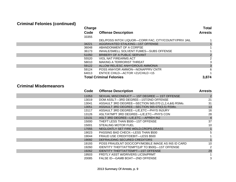|       | Charge                                                | <b>Total</b>   |
|-------|-------------------------------------------------------|----------------|
| Code  | <b>Offense Description</b>                            | <b>Arrests</b> |
| 33355 |                                                       |                |
|       | DEL/POSS INTOX LIQUOR-CORR FAC, CITY/COUNTY/PRIV JAIL |                |
| 34221 | AGGRAVATED STALKING-1ST OFFENSE                       |                |
| 36048 | ABANDONMENT OF A CORPSE                               |                |
| 36173 | INHALE/SMELL SOLVENT FUMES—SUBS OFFENSE               |                |
| 51050 | BRIBERY OF A PUBLIC SERVANT                           |                |
| 55520 | VIOL NAT FIREARMS ACT                                 | $\overline{2}$ |
| 58010 | MAKING A TERRORIST THREAT                             | 3              |
| 59122 | ALLOW REL/ESC ANHYDROUS AMMONIA                       |                |
| 59124 | POSS ANHYDR AMMON—NONAPPRV CNTR                       | 6              |
| 64013 | ENTICE CHILD—ACTOR >21/CHILD <15                      |                |
|       | <b>Total Criminal Felonies</b>                        | 3,874          |

#### **Criminal Misdemeanors**

| Code  | <b>Offense Description</b>                          | <b>Arrests</b> |
|-------|-----------------------------------------------------|----------------|
| 11053 | SEXUAL MISCONDUCT - 1ST DEGREE - 1ST OFFENSE        |                |
| 13019 | DOM ASSLT—3RD DEGREE—1ST/2ND OFFENSE                | 21             |
| 13041 | ASSAULT 3RD DEGREE-SECTION 565.070 (1,2,4,&6) RSMo. | 31             |
| 13051 | ASSAULT 3RD DEGREE-SECTION 565-070(3,5) RSMo.       | 13             |
| 13117 | ASSAULT 3RD DEGREE-L/E, ETC-PHYS INJURY             | 16             |
| 13126 | ASLT/ATMPT 3RD DEGREE-L/E, ETC-PHYS CON             | 28             |
| 13131 | ASLT 3RD DEGREE-L/E, ETC.- APREH INJ                | $\overline{4}$ |
| 15000 | THEFT LESS THAN \$500-1ST OFFENSE                   | 37             |
| 15001 | <b>STEALING MOTOR FUEL</b>                          | 10             |
| 17055 | NEGLGNTLY SET FIRE WDLD, CROPS, GRASS               |                |
| 19023 | PASSING BAD CHECK-LESS THAN \$500                   | 5              |
| 19044 | FRAUD USE CREDIT/DEBIT—LESS \$500                   |                |
| 19092 | DEFRAUDING SECURED CREDITORS                        |                |
| 19193 | POSS FRAUDLNT DOC/COPY/MOBILE IMAGE AS INS ID CARD  | 10             |
| 19260 | IDENTITY THEFT/ATTEMPT(UP TO \$500)-1ST OFFENSE     | 2              |
| 19262 | <b>IDENTITY THEFT/ATTEMPT—1ST OFFENSE</b>           | 29             |
| 19503 | <b>FRDTLY ASST W/DRIVERS LICSN/PRMT</b>             |                |
| 20085 | FALSE ID-GAMB BOAT-2ND OFFENSE                      | 3              |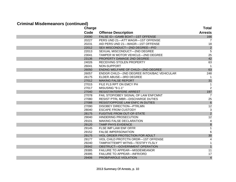# **Criminal Misdemeanors (continued)**

| Charge |                                            | <b>Total</b>    |
|--------|--------------------------------------------|-----------------|
| Code   | <b>Offense Description</b>                 | <b>Arrests</b>  |
| 20090  | FALSE ID-GAMB BOAT-1ST OFFENSE             | 166             |
| 20227  | PERS UND 21-ATT WAGR-1ST OFFENSE           | 7               |
| 20231  | AID PERS UND 21-WAGR-1ST OFFENSE           | 18              |
| 22012  | SEX MISCONDUCT-2ND DEGREE-P/O              | $\overline{c}$  |
| 22013  | SEXUAL MISCONDUCT-2ND DEGREE               | $\overline{5}$  |
| 23041  | TAMPER W MOTOR VEHICLE-2ND DEGREE          | 25              |
| 23136  | PROPERTY DAMAGE 2ND DEGREE                 | 42              |
| 24026  | RECEIVING STOLEN PROPERTY                  | 63              |
| 26041  | NON-SUPPORT                                |                 |
| 26050  | ENDNG WELFARE OF CHILD-2ND DEGREE          | 63              |
| 26057  | ENDGR CHILD-2ND DEGREE INTOX/BAC VEHICULAR | 248             |
| 26175  | ELDER ABUSE-3RD DEGREE                     |                 |
| 27012  | <b>MAKING FALSE REPORT</b>                 | 31              |
| 27015  | FILE FLS RPT ON EMCY PH                    |                 |
| 27017  | MISUSING "9-1-1"                           | $\overline{2}$  |
| 27040  | <b>RESIST/INTERFERE ARREST</b>             | 197             |
| 27078  | FAIL STOP/OBEY SIGNAL OF LAW ENFCMNT       | 7               |
| 27080  | <b>RESIST PTRL MBR-DISCHARGE DUTIES</b>    | 25              |
| 27088  | <b>RESIST/OPPOSE LAW ENFC IN DUTIES</b>    | $6\phantom{1}6$ |
| 27090  | <b>DISOBEY DIRECTION-PTRLMN</b>            | 12              |
| 28040  | <b>ESCAPE FROM CUSTODY</b>                 | $\sqrt{3}$      |
| 28175  | <b>FUGITIVE FROM OUT-OF-STATE</b>          | $\overline{c}$  |
| 29040  | <b>HINDERING PROSECUTION</b>               | $\overline{12}$ |
| 29101  | MAKING FALSE DECLARATION                   | 4               |
| 29120  | <b>TAMP PHYS EVIDENCE</b>                  | $\bf 8$         |
| 29145  | FLSE IMP LAW ENF OFFR                      | $\mathbf{1}$    |
| 29152  | <b>FALSE IMPERSONATION</b>                 | 6               |
| 29175  | VIOL ORDER PROTECTION FOR ADULT            | 30              |
| 29177  | VIOL CHILD PROTCTN ORDR-1ST OFFENSE        | 4               |
| 29240  | TAMP/ATTEMPT WITNS-TESTIFY FLSLY           |                 |
| 29342  | OBSTRUCT-GOVERNMENT OPERATION              |                 |
| 29385  | FAILURE TO APPEAR-MISDEMEANOR              | 11              |
| 29395  | <b>FAILURE TO APPEAR-INFR/ORD</b>          | 17              |
| 29406  | PROB/PAROLE VIOLATION                      | $\overline{4}$  |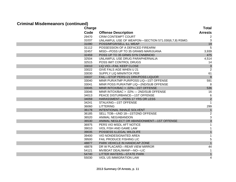#### **Criminal Misdemeanors (continued)**

| <b>Charge</b> |                                                     | <b>Total</b>   |
|---------------|-----------------------------------------------------|----------------|
| Code          | <b>Offense Description</b>                          | <b>Arrests</b> |
| 29470         | <b>CRIM CONTEMPT COURT</b>                          | 2              |
| 31037         | UNLAWFUL USE OF WEAPON-SECTION 571.030(6,7,8) RSMO. | 3              |
| 31090         | POSS/MFGR/SELL ILL WEAP                             | 19             |
| 31112         | POSSESSION OF A DEFACED FIREARM                     | 5              |
| 32457         | MISD-POSS UP TO 35 GRAMS MARIJUANA                  | 3,939          |
| 32459         | POSS UP TO 35 GRMS SYN CNNBNOID                     | 475            |
| 32504         | UNLAWFUL USE DRUG PARAPHERNALIA                     | 4,514          |
| 32515         | POSS IMIT CONTROL DRUGS                             | 14             |
| 33010         | LIQ VIO-FAIL KEEP CLOSE                             | $\mathbf{3}$   |
| 33022         | GIVE FALS AGE WHEN U 21                             | $\overline{2}$ |
| 33030         | SUPPLY LIQ MIN/INTOX PER                            | 61             |
| 33037         | FAIL-STOP PERS<21 DRK/POSS LIQUOR                   | 9              |
| 33040         | MINR PUR/ATMP PUR/POSS LIQ-1ST OFFENSE              | 591            |
| 33041         | MINR POSS PUR/ATMP LIQ-2ND/SUB OFFENSE              | 8              |
| 33045         | MINR INTOX/BAC > .02%-1ST OFFENSE                   | 536            |
| 33046         | MINR INTOX/BAC > .02% - 2ND/SUB OFFENSE             | 16             |
| 34013         | PEACE DISTURBANCE-1ST OFFENSE                       | 6              |
| 34059         | HARASSMENT-PERS 17 YRS OR LESS                      | $\overline{2}$ |
| 34241         | STALKING-1ST OFFENSE                                | -1             |
| 36060         | <b>LITTERING</b>                                    | 299            |
| 36178         | INTENTIONAL INHALE SOLVENT                          | $\mathbf{1}$   |
| 36185         | SELL TOB-UND 18-1ST/2ND OFFENSE                     | $\overline{c}$ |
| 36520         | ANIMAL NEG/ABANDON                                  | 3              |
| 36530         | ANIMAL NEGLECT OR ABANDONMENT-1ST OFFENSE           | 3              |
| 36975         | PERS VIO MSDL AFT NOTICE                            | 1              |
| 39010         | VIOL FISH AND GAME LAW                              | 1              |
| 39035         | POSSESS ILLEGAL WILDLIFE                            | $\mathbf{1}$   |
| 39400         | <b>VIO NONDESIGNATED AREA</b>                       | 1              |
| 39500         | <b>FAIL PRODUCE FISHING LIC</b>                     | 5              |
| 48877         | PARK VEHICLE IN HANDICAP ZONE                       | $\overline{1}$ |
| 48878         | DR W PLACARD-REAR VIEW MIRROR                       | 44             |
| 54121         | MV/BOAT DEAL/MANF-NO-LIC                            |                |
| 54740         | LITTER WATERS-STATE PARK                            | $\mathbf{1}$   |
| 55030         | <b>VIOL US IMMIGRATION LAW</b>                      | 4              |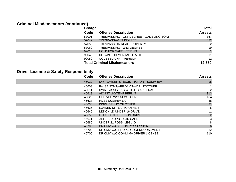# **Criminal Misdemeanors (continued)**

|       | Charge                               |                |
|-------|--------------------------------------|----------------|
| Code  | <b>Offense Description</b>           | <b>Arrests</b> |
| 57001 | TRESPASSING-1ST DEGREE-GAMBLING BOAT | 367            |
| 57042 | TRESPASS-1ST DEGREE                  | 332            |
| 57052 | <b>TRESPASS ON REAL PROPERTY</b>     | 2              |
| 57060 | TRESPASSING—2ND DEGREE               | 19             |
| 99010 | <b>HOLD FOR SAFE KEEPING</b>         |                |
| 99045 | DETAIN FOR MENTAL HEALTH             | 11             |
| 99050 | COVEYED UNFIT PERSON                 | 12             |
|       | <b>Total Criminal Misdemeanors</b>   | 12,559         |

# **Driver License & Safety Responsibility**

| Code           | <b>Offense Description</b>                                            | <b>Arrests</b>  |
|----------------|-----------------------------------------------------------------------|-----------------|
| 46022          | DW-OWNER'S REGISTRATION-SUSP/REV                                      | 15              |
| 46603<br>46611 | FALSE STMT/AFFIDAVIT—DR LIC/OTHER<br>DWR—ASSISTING WITH LIC APP FRAUD |                 |
| 46618          | <b>VIO INT LIC/TEMP PERMIT</b>                                        | 313             |
| 46623          | OPR VEH W/O NEW LICENSE                                               | 104             |
| 46627          | <b>POSS SUS/REV LIC</b>                                               | 48              |
| 46630          | DISPL DRI LIC OF OTHER                                                | 21              |
| 46635          | LOANED DRI LIC TO OTHER                                               | 5               |
| 46645          | LET CHILD UNDER 16 DRIVE                                              | 11              |
| 46650          | LET UNAUTH PERSON DRIVE                                               | 92              |
| 46671          | ALTERED OPR LIC/ID CARD                                               | 3               |
| 46680          | UNDER 21 POSS ILEGL ID                                                | 8               |
| 46700          | DR CMV W/O CDL IN POSSESSION                                          | $6\phantom{1}6$ |
| 46703          | DR CMV W/O PROPER LIC/ENDORSEMENT                                     | 62              |
| 46705          | DR CMV W/O COMM MV DRIVER LICENSE                                     | 110             |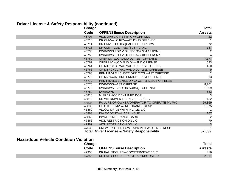#### **Driver License & Safety Responsibility (continued)**

| <b>Charge</b> |                                                         | Total          |
|---------------|---------------------------------------------------------|----------------|
| Code          | <b>OFFENSEense Description</b>                          | <b>Arrests</b> |
| 46707         | VIOL OPR LIC RESTRIC W OPR CMV                          | 22             |
| 46710         | DR CMV-LIC REV-4TH/SUB OFFENSE                          |                |
| 46714         | DR CMV-DR DISQUALIFIED-OP CMV                           | 72             |
| 46716         | DR CMV-CDL-REV/SUSP/CANC                                | 187            |
| 46730         | DWR/DWS FOR VIOL SEC 302.304.17 RSMo.                   | 2              |
| 46750         | DWR/DWS FOR VIOL SEC 577.041.11 RSMo.                   | 4              |
| 46760         | OPER MV W/O VALID DL-1ST OFFENSE                        | 7,177          |
| 46762         | OPER MV W/O VALID DL-2ND OFFENSE                        | 633            |
| 46764         | OP MTRCYCL W/O VALID DL-1ST OFFENSE                     | 450            |
| 46766         | OP MTRCYCL W/O VALID DL-2ND OFFENSE                     | 9              |
| 46768         | PRMT INVLD LCNSEE OPR CYCL—1ST OFFENSE                  | 2              |
| 46770         | OP MV W/ANTHRS PRMT/DL-1ST OFFENSE                      | 13             |
| 46772         | PRMT INVLD LCNSE OP CYCL-2ND/SUB OFFENSE                | $\overline{1}$ |
| 46776         | DWR/DWS-1ST OFFENSE                                     | 8,761          |
| 46778         | DWR/DWS-2ND OR SUBSQT OFFENSE                           | 1,809          |
| 46780         | <b>DWR/DWS</b>                                          | 652            |
| 46810         | MISREP ACCIDENT INFO DOR                                | -3             |
| 46818         | DR WH DRIVER LICENSE SUSP/REV                           | 152            |
| 46836         | FAILURE OF OWNER/OPERATOR TO OPERATE MV WO              | 29,869         |
| 46838         | OP OTHRS MV W/ NO FINANCL RESP                          | 1,975          |
| 46860         | ALLOW DRIVE WITH INVALID LIC                            |                |
| 46863         | <b>INV EVIDENC-LIABIL INSUR</b>                         | 167            |
| 46865         | <b>INVALID INSURANCE CARD</b>                           | 2              |
| 47366         | <b>VIOL RESTRICTION ON LIC</b>                          | 70             |
| 47369         | <b>VIOL RESTRICTION ON LIC</b>                          | $\mathbf{3}$   |
| 47533         | UNLWFLY OPER LOW-SPD VEH W/O FINCL RESP                 |                |
|               | <b>Total Driver License &amp; Safety Responsibility</b> | 52,839         |

#### **Hazardous Vehicle Condition Violation**

**Contract Contract** 

|       | Charge                                 | <b>Total</b>   |
|-------|----------------------------------------|----------------|
|       | <b>OFFENSEense Description</b><br>Code | <b>Arrests</b> |
| 47350 | DR FAIL SECURE-BOOSTER/SEAT BELT       | 416            |
| 47355 | DR FAIL SECURE-RESTRAINT/BOOSTER       | 2,311          |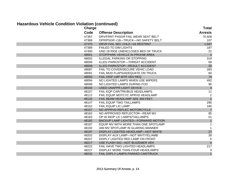# **Hazardous Vehicle Condition Violation (continued)**

| Charge | -----------                          | <b>Total</b>   |
|--------|--------------------------------------|----------------|
| Code   | <b>Offense Description</b>           | <b>Arrests</b> |
| 47367  | DRV/FRNT PASGR FAIL WEAR SEAT BELT   | 70,508         |
| 47368  | OPR/PSGR <18-TRUCK-NO SAFETY BELT    | 107            |
| 47370  | DRVR FAIL SEC CHLD <16 RESTRNT       | 1,047          |
| 47389  | <b>FAILED TO DIM LIGHTS</b>          | 187            |
| 47400  | UND 18 RIDE UNENCLOSED BED OF TRUCK  | 22             |
| 48001  | STOP/PARK VEHICLE IN PROHIB AREA     | $\overline{4}$ |
| 48002  | <b>ILLEGAL PARKING OR STOPPING</b>   | 319            |
| 48006  | ILLEG PARK/STOP-THREAT ACCIDENT      | 69             |
| 48008  | ILLEG PARK/STOP-RESULT ACCIDENT      | 20             |
| 48087  | FAIL TO COVER/SECURE VEHIC LOAD      | 283            |
| 48091  | FAIL MUD FLAPS/ADEQUATE ON TRUCK     | 84             |
| 48093  | FAIL DISP LMP MTR VEH REQ            | 74             |
| 48094  | NO LIGHTED LAMPS WHEN USE WIPERS     | 492            |
| 48099  | NO LIGHTED LAMPS DURING FOG          | 95             |
| 48102  | <b>USED UNAPPR LIGHT DEVICE</b>      | $\mathbf{3}$   |
| 48107  | FAIL EQP CAR/TRK/BUS HEADLAMPS       | 11             |
| 48112  | FAIL EQUIP MOTCYC APRVD HEADLAMP     | $\overline{2}$ |
| 48132  | FAIL BEAM HEADLAMP SEE 350 FEET      | $\overline{1}$ |
| 48147  | <b>FAIL EQUIP TWO TAILLAMPS</b>      | 296            |
| 48152  | <b>FAIL EQUIP LIC LAMP</b>           | 180            |
| 48157  | NO APPRVD REFLEC MOTORCYCLE          | $\overline{7}$ |
| 48162  | NO APPROVED REFLECTOR—REAR MV        | 85             |
| 48163  | OP W INOP LIC LAMPS/TAILLAMPS        | 51             |
| 48182  | BACKUP LAMP LIGHTED-FORWARD MOTION   | $\mathbf{1}$   |
| 48187  | EQUIP MV WITH MORE THAN ONE SPOTLAMP | $\mathbf{1}$   |
| 48192  | AIM MV SPOTLAMP IN GLARING MANNER    | $\mathbf{1}$   |
| 48197  | DISPLAY LIGHTED HEADLAMP-NOT WHITE   | $27\,$         |
| 48202  | DISPLAY AUX LAMP-NOT WHT/YEL/AMB     | 28             |
| 48207  | DISPLY LIGHTED RED LAMP ON FRONT     | $\sqrt{5}$     |
| 48217  | USE FLASH SIG-NOT BUS/EMER VEH       | $\overline{4}$ |
| 48222  | FAIL HAVE TWO LIGHTED HEADLAMPS      | 217            |
| 48227  | DISPLAY MORE THAN FOUR HEADLAMPS     | 3              |
| 48232  | FAIL DSPLY LAMPS PARKED CAR/TRUCK    | $\overline{1}$ |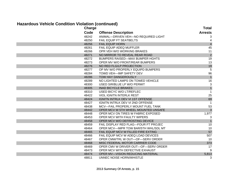#### **Hazardous Vehicle Condition Violation (continued)**

| ****** \`<br>Charge |                                         | <b>Total</b>              |
|---------------------|-----------------------------------------|---------------------------|
| Code                | <b>Offense Description</b>              | <b>Arrests</b>            |
| 48242               | ANIMAL-DRIVEN VEH-NO REQUIRED LIGHT     | 3                         |
| 48250               | <b>FAIL EQUIP FT SEATBELTS</b>          |                           |
| 48256               | <b>FAIL EQUIP HORN</b>                  | $\overline{4}$            |
| 48261               | FAIL EQUIP ADEQ MUFFLER                 | 45                        |
| 48266               | OPR VEH W/O WORKING BRAKES              | 11                        |
| 48271               | NO MIRROR TO REVEAL REAR ROAD           | $\overline{c}$            |
| 48272               | <b>BUMPERS RAISED-MAX BUMPER HGHTS</b>  | 19                        |
| 48273               | OPER MV W/O FRONT/REAR BUMPERS          | 13                        |
| 48276               | NO RED FLG/LP PROJECTION                | 19                        |
| 48277               | OP MV W/O PROPERLY EQUIPD BUMPERS       | $5\phantom{.0}$           |
| 48284               | <b>TOWD VEH-IMP SAFETY DEV</b>          | 96                        |
| 48286               | TOW HAY DANGEROUSLY                     | $\mathbf{1}$              |
| 48289               | NO LIGHTED LAMPS ON TOWED VEHICLE       | 16                        |
| 48300               | USED SIR/BLUE LP W/O PERMIT             | $\ensuremath{\mathsf{3}}$ |
| 48305               | <b>INAD BICYCLE BRAKES</b>              | $\overline{1}$            |
| 48310               | USED BICYC W/O LT/REFLEC                | $\mathbf{1}$              |
| 48422               | <b>VIOL IGNITN INTERLK REST</b>         | 25                        |
| 48424               | IGNITN INTRLK DEV VI 1ST OFFENSE        | 69                        |
| 48427               | <b>IGNITN INTRLK DEV VI 2ND OFFENSE</b> | $\overline{1}$            |
| 48438               | MCV-FAIL PROPERLY MOUNT FUEL TANK       | 53                        |
| 48442               | OPER MCV W 5TH WHEEL MOUNTED UNSAFE     | $\overline{3}$            |
| 48448               | OPER MCV ON TIRES W FABRIC EXPOSED      | 1,977                     |
| 48453               | OPER MCV WITH FAULTY WIPERS             | 3                         |
| 48458               | OPER MCV W/O DEFROSTING DEVICE          | $\overline{1}$            |
| 48459               | FAIL DISPLAY RED FLAG-FOUR FT PROJEC    | 10                        |
| 48464               | OPER MCV-IMPR TOW BAR/5TH WHL/SDL MT    | 10                        |
| 48465               | FAIL EQUIP MCV W FILLED FIRE EXTING     | 57                        |
| 48466               | FAIL EQUIP MCV W ADEQ LOAD DEVICES      | 507                       |
| 48467               | OPER CMW/TRL W OUT-OF-SERV ORDER        | 10                        |
| 48468               | MISC FEDERAL MOTOR CARRIER CODE         | 373                       |
| 48469               | OPER CMV W DRIVER OUT-OF-SERV ORDER     | 17                        |
| 48473               | OPER MCV WITH DEFECTIVE EXHAUST         | 9                         |
| 48474               | OPER MV-VISION REDUCING MATERIAL        | 5,813                     |
| 48811               | UNNEC NOISE HORN/WHISTLE                | 3                         |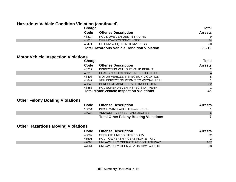#### **Hazardous Vehicle Condition Violation (continued)**

| Charge |                                                    | <b>Total</b>   |
|--------|----------------------------------------------------|----------------|
| Code   | <b>Offense Description</b>                         | <b>Arrests</b> |
| 48814  | FAIL MOVE VEH OBSTR TRAFFIC                        |                |
| 48816  | <b>OPR MC-EXCESSIVE NOISE</b>                      | 34             |
| 49471  | OP CMV W EQUIP NOT MVI REGS                        | 30             |
|        | <b>Total Hazardous Vehicle Condition Violation</b> | 86,219         |

#### **Motor Vehicle Inspection Violations**

| Charge |                                                  | <b>Total</b>   |
|--------|--------------------------------------------------|----------------|
| Code   | <b>Offense Description</b>                       | <b>Arrests</b> |
| 46217  | INSPECTING WITHOUT VALID PERMIT                  |                |
| 46219  | <b>CHARGING EXCESSIVE INSPECTION FEE</b>         | $\overline{4}$ |
| 48408  | MOTOR VEHICLE INSPECTION VIOLATION               | 5              |
| 48847  | VEH INSPECTION PERMIT TO WRONG PERS              |                |
| 48849  | PERFORM IMPROPER VEH INSPECTION                  | 32             |
| 48853  | FAIL SURENDR VEH INSPEC STAT PERMIT              |                |
|        | <b>Total Motor Vehicle Inspection Violations</b> | 45             |

#### **Other Felony Boating Violations**

| Code  | <b>Offense Description</b>                   | <b>Arrests</b> |
|-------|----------------------------------------------|----------------|
| 10054 | INVOL MANSLAUGHTER-VESSEL                    |                |
| 13034 | ASSAULT—VESSEL—2ND DEGREE                    | 6              |
|       | <b>Total Other Felony Boating Violations</b> |                |

# **Other Hazardous Moving Violations**

| Code  | <b>Offense Description</b>         | <b>Arrests</b> |
|-------|------------------------------------|----------------|
| 46092 | OPERATE UNREGISTERED ATV           | 22             |
| 46501 | FAIL-OWNERSHIP CERTIFICATE-ATV     |                |
| 47060 | UNLAWFULLY OPERATE ATV ON HIGHWAY  | 107            |
| 47064 | UNLAWFULLY OPER ATV ON HWY W/O LIC | 18             |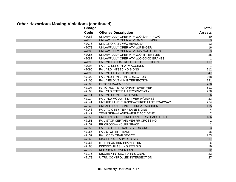#### **Other Hazardous Moving Violations (continued)**

| <b>Charge</b> |                                       | <b>Total</b>   |
|---------------|---------------------------------------|----------------|
| Code          | <b>Offense Description</b>            | <b>Arrests</b> |
| 47068         | UNLAWFULLY OPER ATV W/O SAFTY FLAG    | 40             |
| 47070         | UNLAWFULLY OPER ATV CARELSS MNR       | 13             |
| 47076         | UND 18 OP ATV W/O HEADGEAR            | 12             |
| 47078         | UNLAWFULLY OPER ATV W/PSNGER          | 16             |
| 47083         | UNLAWFULLY OPER ATV HWY W/O LIGHTS    | $\mathbf{3}$   |
| 47085         | UNLAWFULLY OPER ATV W/O TRI EMBLEM    | 25             |
| 47087         | UNLAWFULLY OPER ATV W/O GOOD BRAKES   | $\mathbf{1}$   |
| 47093         | FAIL YIELD CONTROLLED INTERSECTION    | 117            |
| 47095         | FAIL TO REPORT ATV ACCIDENT           | -1             |
| 47096         | FAIL YLD INTSEC NO SIGNS              | 212            |
| 47099         | FAIL YLD TO VEH ON RIGHT              | 47             |
| 47102         | FAIL YLD TRN LT INTERSECTION          | 368            |
| 47105         | FAIL YIELD VEH IN INTERSECTION        | 291            |
| 47106         | FL TO YLD-EMER VEH                    | 268            |
| 47107         | FL TO YLD-STATIONARY EMER VEH         | 511            |
| 47108         | FAIL YLD ENTER ALLEY/DRIVEWAY         | 258            |
| 47111         | FAIL YLD TRN LT ALLEY/DR              | 26             |
| 47114         | FAIL YLD MODOT STAT VEH W/LIGHTS      | 23             |
| 47141         | UNSAFE LANE CHANGE-THREE LANE ROADWAY | 254            |
| 47142         | UNSAFE LANE CHNG-THREAT ACCIDENT      | 115            |
| 47143         | FAIL TO OBEY TEMP LANE SIGNS          | 4              |
| 47147         | TEMP SIGN-LANES-RSLT ACCIDENT         | 2              |
| 47150         | UNSF LN CHG-THREE LANE-RSLT ACCIDENT  | 186            |
| 47151         | FAIL STOP CERTAIN VEH RR CROSSING     | 1              |
| 47152         | RR CROSS-INSUFF SPACE                 | 1              |
| 47155         | FAIL TO OBEY TRAF SIG-RR CROSS        | $\mathbf{3}$   |
| 47156         | FAIL STOP RR TRACK                    | 16             |
| 47157         | FAIL OBEY TRAF DEVICE                 | 253            |
| 47160         | <b>DISOBEY STEADY RED SIG</b>         | 517            |
| 47163         | RT TRN ON RED PROHIBITED              | -6             |
| 47166         | DISOBEY FLASHING RED SIG              | 19             |
| 47172         | RED SIGNAL OVER LANE                  | 12             |
| 47175         | DISOBEY INTSEC TURN SIGNAL            | 23             |
| 47178         | U TRN CONTROLLED INTERSECTION         | 27             |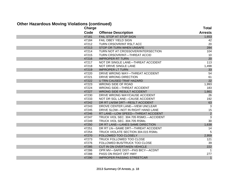#### **Other Hazardous Moving Violations (continued)**

| <b>Charge</b> |                                        | Total          |
|---------------|----------------------------------------|----------------|
| Code          | <b>Offense Description</b>             | <b>Arrests</b> |
| 47181         | <b>FAIL STOP AT STOP SIGN</b>          | 1,653          |
| 47184         | FAIL OBEY YIELD SIGN                   | 42             |
| 47212         | TURN CRSOVR/INT RSLT ACC               | 20             |
| 47213         | STOP OR TURN WHEN UNSAFE               | 284            |
| 47214         | TURN NOT AT CROSSOVER/INTERSECTION     | 104            |
| 47215         | TURN CRSOVR/INT-THREAT ACCID           | 10             |
| 47216         | <b>IMPROPER RT TURN</b>                | 20             |
| 47217         | NOT DR SINGLE LANE-THREAT ACCIDENT     | 113            |
| 47218         | NOT DRIVE SINGLE LANE                  | 1,498          |
| 47219         | <b>IMPROPER LT TURN</b>                | 33             |
| 47220         | DRIVE WRONG WAY-THREAT ACCIDENT        | 54             |
| 47221         | DRIVE WRONG DIRECTION                  | 61             |
| 47222         | U TRN CAUSED TRAF HAZARD               | 22             |
| 47223         | <b>WRONG SIDE OF ROAD</b>              | 1,993          |
| 47224         | <b>WRONG SIDE-THREAT ACCIDENT</b>      | 183            |
| 47227         | <b>WRONG SIDE RESULT ACCIDENT</b>      | 1,661          |
| 47230         | DRIVE WRONG WAY/CAUSE ACCIDENT         | 26             |
| 47233         | NOT DR SGL LANE-CAUSE ACCIDENT         | 192            |
| 47242         | DR RT LN/SM DRT-RESLT ACCIDENT         | 63             |
| 47243         | DROVE CENTER LANE-VIEW UNCLEAR         | 3              |
| 47245         | DRIVE SLOW-NOT IN RIGHT HAND LANE      | 15             |
| 47246         | RT LANE-LOW SPEED-THREAT ACCIDENT      | $\overline{c}$ |
| 47247         | TRUCK VIOL SEC. 304.705 RSMO.-ACCIDENT | $\overline{3}$ |
| 47249         | TRUCK VIOL SEC. 304.705 RSMo.          | 30             |
| 47250         | DR RT LANE-LANES SAME DIRECTION        | 1,638          |
| 47251         | DR RT LN-SAME DRT-THREAT ACCIDENT      | 14             |
| 47254         | TRUCK VIOLATE SECTION 304.015 RSMo.    | 5              |
| 47270         | FOLLOWED TOO CLOSELY                   | 2,959          |
| 47273         | TRUCK FOLLOWED TOO CLOSE               | 121            |
| 47276         | FOLLOWED BUS/TRUCK TOO CLOSE           | 39             |
| 47285         | CUT IN ON OVERTAKEN VEHICLE            | 222            |
| 47286         | OPR MV-SAFE DIST-PAS BICY-ACDNT        | -1             |
| 47288         | PASS ON RIGHT OFF HWY                  | 277            |
| 47290         | <b>IMPROPER PASSING STREETCAR</b>      | $\overline{1}$ |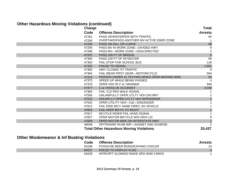# **Other Hazardous Moving Violations (continued)**

| <b>Charge</b> |                                                | <b>Total</b>     |
|---------------|------------------------------------------------|------------------|
| Code          | <b>Offense Description</b>                     | <b>Arrests</b>   |
| 47291         | PASS VEH/INTERFER WITH TRAFFIC                 | 84               |
| 47293         | OVERTAKE/PASS ANOTHER MV ACTIVE EMER ZONE      |                  |
| 47294         | PASS ON HILL OR CURVE                          | 68               |
| 47295         | PASS MV IN WORK ZONE-DIVIDED HWY               | 9                |
| 47296         | PASS MV-WORK ZONE-SIGN ERECTED                 | $\boldsymbol{2}$ |
| 47297         | PASS 100 FT OF BRIDGE                          | $\overline{5}$   |
| 47300         | PASS 100 FT OF INTSEC/RR                       | 66               |
| 47303         | FAIL STOP FOR SCHOOL BUS                       | 118              |
| 47333         | <b>FAILED TO SIGNAL</b>                        | 1,931            |
| 47360         | HWY CLOSED TO TRAFFIC                          | 9                |
| 47364         | <b>FAIL WEAR PROT GEAR-MOTORCYCLE</b>          | 594              |
| 47374         | PERSON UNDER 21 TEXTING WHILE OPER MOVING NON  | 63               |
| 47375         | SPEED UP WHILE BEING PASSED                    |                  |
| 47376         | OPER VEH IN C & I MANNER                       | 940              |
| 47377         | C & I INVOLVE ACCIDENT                         | 4,340            |
| 47384         | <b>FAIL YLD PED WALK SIGNAL</b>                |                  |
| 47505         | UNLAWFULLY OPER UTLTY VEH ON HWY               | 2                |
| 47515         | UNLWFLLY OPER UTLTY VEH W/PASSNGR              | $\overline{1}$   |
| 47520         | <b>OPER UTILITY VEH-C&amp;I-ENDANGER</b>       | $\overline{2}$   |
| 47812         | FAIL RIDE BICY SAME DIREC AS VEHICLE           |                  |
| 47815         | FAIL KEEP BICYC TO RIGHT                       |                  |
| 47817         | <b>BICYCLE RIDER FAIL HAND SIGNAL</b>          |                  |
| 47827         | OPER MOTOR BICYCLE W/O DRIV LIC                | 9                |
| 47828         | OPER MOTOR BIKE ON INTERSTATE HWY              |                  |
| 48046         | OP/TRANSP HUSB IMP-SUNSET AND SUNRISE          | 2                |
|               | <b>Total Other Hazardous Moving Violations</b> | 25,437           |

# **Other Misdemeanor & Inf Boating Violations**

| Code  | <b>Offense Description</b>          | <b>Arrests</b> |
|-------|-------------------------------------|----------------|
| 54196 | POSS/USE BEER BONG/EXPAND COOLER    | 14             |
| 54227 | <b>FAILED TO DISPLAY FLAG</b>       |                |
| 54228 | WTRCRFT SLOW/NO WAKE SPD W/50 YARDS |                |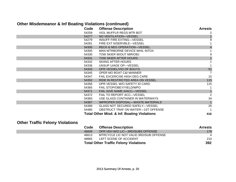# **Other Misdemeanor & Inf Boating Violations (continued)**

| Code  | <b>Offense Description</b>                             | <b>Arrests</b>          |
|-------|--------------------------------------------------------|-------------------------|
| 54259 | VIOL MUFFLR REGS MTR BOT                               |                         |
| 54277 | NO VENTILATION-VESSEL                                  |                         |
| 54279 | INSUFF FIRE EXTING—VESSEL                              | 9                       |
| 54281 | FIRE EXT N/SERVBLE—VESSEL                              |                         |
| 54300 | <b>RECK &amp; NEG OPERATION-VESSEL</b>                 | $\overline{\mathbf{4}}$ |
| 54305 | MAN WTRBORNE DEVICE WHIL INTOX                         |                         |
| 54330 | TOW SKIER W/OUT MIR/OBJ                                | 9                       |
| 54331 | TOW SKIER AFTER HOURS                                  |                         |
| 54332 | <b>SKIING AFTER HOURS</b>                              |                         |
| 54336 | UNSUP U/AGE OP-VESSEL                                  |                         |
| 54343 | OPR VESSEL/VIO OF BOUYS                                | 51                      |
| 54345 | OPER MO BOAT C&I MANNER                                | 7                       |
| 54347 | <b>FAIL EXCERCISE HIGH DEG CARE</b>                    | 15                      |
| 54352 | RIDE IN RESTRICTED AREA ON VESSEL                      | 115                     |
| 54356 | OPR VESSEL W/O SAFETY ID CARD                          | 115                     |
| 54365 | FAIL STOP/OBEY/YIELD/WPO                               |                         |
| 54371 | FAIL GIVE NAME A/ACC-VESSEL                            |                         |
| 54372 | FAIL TO REPORT ACC—VESSEL                              | $\overline{2}$          |
| 54383 | USE GLASS CONTAINER IN WATERWAYS                       | 34                      |
| 54387 | IMPROPER DISPOSAL-WASTE MATERIALS                      |                         |
| 54389 | <b>GLASS NOT SECURED SAFELY-VESSEL</b>                 | 25                      |
| 54485 | OBSTRUCT TRAF ON WATER-1ST OFFENSE                     |                         |
|       | <b>Total Other Misd. &amp; Inf. Boating Violations</b> | 416                     |

# **Other Traffic Felony Violations**

| Code  | <b>Offense Description</b>                   | <b>Arrests</b> |
|-------|----------------------------------------------|----------------|
| 46609 | OPR VEH W/O LIC—3RD/SUBS OFFENSE             | 178            |
| 46613 | MTRCYCLE LIC NOT VALID 3RD/SUB OFFENSE       | $\overline{4}$ |
| 48865 | LEFT SCENE OF ACCIDENT                       | 210            |
|       | <b>Total Other Traffic Felony Violations</b> | 392            |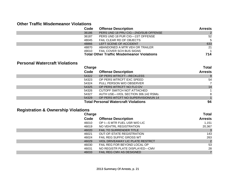#### **Other Traffic Misdemeanor Violations**

| Code  | <b>Offense Description</b>                        | <b>Arrests</b> |
|-------|---------------------------------------------------|----------------|
| 36186 | PERS UND 18 PRU CIG-2ND/SUB OFFENSE               | 2              |
| 36187 | PERS UND 18 PUR CIG-1ST OFFENSE                   | 52             |
| 48045 | FAIL CLEAR RD OF OBJECTS                          | -5             |
| 48866 | LEFT SCENE OF ACCIDENT                            | 633            |
| 48870 | ABANDONED A MTR VEH OR TRAILER                    | 21             |
| 49010 | <b>FAIL COVER SCH BUS SIGNS</b>                   |                |
|       | <b>Total Other Traffic Misdemeanor Violations</b> | 714            |

#### **Personal Watercraft Violations**

| Charge |                                             | <b>Total</b>   |
|--------|---------------------------------------------|----------------|
| Code   | <b>Offense Description</b>                  | <b>Arrests</b> |
| 54322  | OP PERS WTRCFT-RECKLESS                     |                |
| 54323  | OP PERS WTRCFT EXC SPEED                    | 54             |
| 54324  | PULL PERSON W/O OBSERVER                    |                |
| 54325  | OP PERS WTRCFT NO FLO DV                    | 14             |
| 54326  | CUTOFF SWITCH NOT ATTACHED                  |                |
| 54327  | AUTH USE-VIOL SECTION 306.142 RSMo.         | 8              |
| 54329  | OP PERS WTCFT NO SUPERVISION/UN 14          |                |
|        | <b>Total Personal Watercraft Violations</b> | 94             |

# **Registration & Ownership Violations**

|       | Charge                                  |                |
|-------|-----------------------------------------|----------------|
| Code  | <b>Offense Description</b>              | <b>Arrests</b> |
| 46010 | OP I-S MTR FUEL USR W/O LIC             | 1,151          |
| 46019 | NO VEH/TRL REGISTRATION                 | 20,367         |
| 46020 | <b>FAIL TO SURRENDER TITLE</b>          |                |
| 46021 | <b>OUT-OF-STATE REGISTRATION</b>        | 143            |
| 46024 | <b>FAIL REG SUFFIC GROSS WT</b>         | 263            |
| 46029 | <b>VIOL DRIVEAWAY LIC PLATE RESTRCT</b> | 2              |
| 46030 | FAIL REG FOR BEYOND LOCAL OP            | 53             |
| 46031 | NO REGISTR PLATE DISPLAYED-CMV          | 28             |
| 46033 | FAIL REG CMV AS DESIGNED                |                |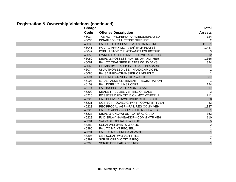# **Registration & Ownership Violations (continued)**

|       | <b>Charge</b> |                                     | <b>Total</b>            |
|-------|---------------|-------------------------------------|-------------------------|
| Code  |               | <b>Offense Description</b>          | <b>Arrests</b>          |
| 46034 |               | TAB NOT PROPERLY AFFIXED/DISPLAYED  | 124                     |
| 46035 |               | DISABLED VET LICENSE OFFENSE        | 2                       |
| 46038 |               | FAILED TO DISPLAY PLATES ON MV/TRL  | 11,661                  |
| 46041 |               | FAIL TO AFFIX MOT VEH/ TRLR PLATES  | 1,447                   |
| 46047 |               | DSPL HISTORIC PLATE-NOT EXHIB/EDUC  | 3                       |
| 46056 |               | OWNER HISTORIC MV-FAIL MILEAGE LOG  | 12                      |
| 46059 |               | DISPLAY/POSSESS PLATES OF ANOTHER   | 1,366                   |
| 46061 |               | FAIL TO TRANSFER PLATES W/I 30 DAYS | 324                     |
| 46062 |               | OBTAIN BY FRAUD/USE DISABL PLACARD  | $\overline{1}$          |
| 46074 |               | UNAUTHORIZED USE-HANDICAP LIC PL    |                         |
| 46080 |               | FALSE INFO-TRANSFER OF VEHICLE      |                         |
| 46094 |               | OPER MOTOR VEH/TRLR W/O TITLE       | 637                     |
| 46103 |               | MADE FALSE STATEMENT-REGISTRATION   |                         |
| 46109 |               | FAIL DISPL VEH INSP CERT            | 124                     |
| 46114 |               | FAIL INSPECT VEH PRIOR TO SALE      | 17                      |
| 46209 |               | DEALER FAIL DELIVER BILL OF SALE    | 2                       |
| 46215 |               | POSSESS OPEN TITLE ON MOT VEH/TRLR  | 211                     |
| 46220 |               | FAIL DELIVER OWNERSHIP CERTIFICATE  | 20                      |
| 46221 |               | NO RECIPROCAL AGRMNT-COMM MTR VEH   | 33                      |
| 46223 |               | RECIPROCAL AGR-FAIL REG COMM VEH    | 1,327                   |
| 46226 |               | FAIL TO APPLY-DUPLICATE MV PLATES   | $\overline{1}$          |
| 46227 |               | DISPLAY UNLAWFUL PLATE/PLACARD      | 363                     |
| 46228 |               | FL DISPLAY NAME/ADDR-COMM MTR VEH   | 110                     |
| 46381 |               | SALVAGE OPERATE W/O LIC             | $\sqrt{5}$              |
| 46383 |               | SCRAP/VEH/PARTS W/O LIC             | $\overline{2}$          |
| 46390 |               | FAIL TO MAINT REC/SELL              | 1                       |
| 46391 |               | FAIL TO MAINT REC/SALVAGE           | $\mathbf{1}$            |
| 46396 |               | OBT SCRAP W/O VEH TITLE             |                         |
| 46397 |               | <b>SCRAP OPR VIO TITLE REQ</b>      | $\overline{\mathbf{c}}$ |
| 46398 |               | <b>SCRAP OPR FAIL KEEP REC</b>      | $\overline{1}$          |